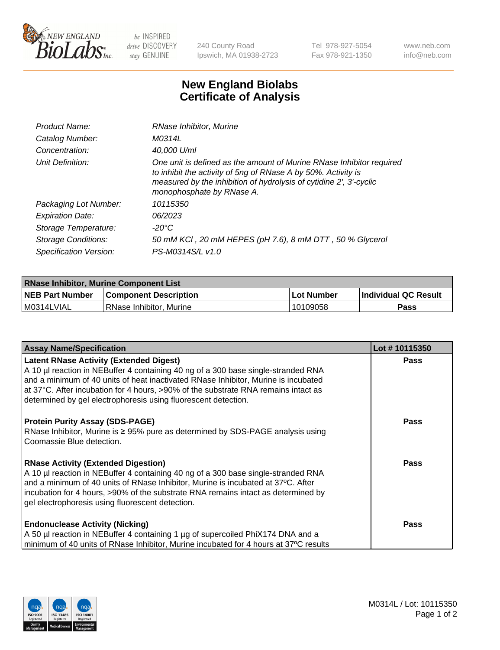

 $be$  INSPIRED drive DISCOVERY stay GENUINE

240 County Road Ipswich, MA 01938-2723 Tel 978-927-5054 Fax 978-921-1350 www.neb.com info@neb.com

## **New England Biolabs Certificate of Analysis**

| Product Name:           | RNase Inhibitor, Murine                                                                                                                                                                                                                  |
|-------------------------|------------------------------------------------------------------------------------------------------------------------------------------------------------------------------------------------------------------------------------------|
| Catalog Number:         | M0314L                                                                                                                                                                                                                                   |
| Concentration:          | 40,000 U/ml                                                                                                                                                                                                                              |
| Unit Definition:        | One unit is defined as the amount of Murine RNase Inhibitor required<br>to inhibit the activity of 5ng of RNase A by 50%. Activity is<br>measured by the inhibition of hydrolysis of cytidine 2', 3'-cyclic<br>monophosphate by RNase A. |
| Packaging Lot Number:   | 10115350                                                                                                                                                                                                                                 |
| <b>Expiration Date:</b> | 06/2023                                                                                                                                                                                                                                  |
| Storage Temperature:    | -20°C                                                                                                                                                                                                                                    |
| Storage Conditions:     | 50 mM KCI, 20 mM HEPES (pH 7.6), 8 mM DTT, 50 % Glycerol                                                                                                                                                                                 |
| Specification Version:  | PS-M0314S/L v1.0                                                                                                                                                                                                                         |

| <b>RNase Inhibitor, Murine Component List</b> |                              |            |                      |  |
|-----------------------------------------------|------------------------------|------------|----------------------|--|
| <b>NEB Part Number</b>                        | <b>Component Description</b> | Lot Number | Individual QC Result |  |
| M0314LVIAL                                    | l RNase Inhibitor. Murine    | 10109058   | <b>Pass</b>          |  |

| <b>Assay Name/Specification</b>                                                                                                                                                                                                                                                                                                                                                   | Lot #10115350 |
|-----------------------------------------------------------------------------------------------------------------------------------------------------------------------------------------------------------------------------------------------------------------------------------------------------------------------------------------------------------------------------------|---------------|
| <b>Latent RNase Activity (Extended Digest)</b><br>A 10 µl reaction in NEBuffer 4 containing 40 ng of a 300 base single-stranded RNA<br>and a minimum of 40 units of heat inactivated RNase Inhibitor, Murine is incubated<br>at 37°C. After incubation for 4 hours, >90% of the substrate RNA remains intact as<br>determined by gel electrophoresis using fluorescent detection. | <b>Pass</b>   |
| <b>Protein Purity Assay (SDS-PAGE)</b><br>RNase Inhibitor, Murine is ≥ 95% pure as determined by SDS-PAGE analysis using<br>Coomassie Blue detection.                                                                                                                                                                                                                             | Pass          |
| <b>RNase Activity (Extended Digestion)</b><br>A 10 µl reaction in NEBuffer 4 containing 40 ng of a 300 base single-stranded RNA<br>and a minimum of 40 units of RNase Inhibitor, Murine is incubated at 37°C. After<br>incubation for 4 hours, >90% of the substrate RNA remains intact as determined by<br>gel electrophoresis using fluorescent detection.                      | Pass          |
| <b>Endonuclease Activity (Nicking)</b><br>A 50 µl reaction in NEBuffer 4 containing 1 µg of supercoiled PhiX174 DNA and a<br>minimum of 40 units of RNase Inhibitor, Murine incubated for 4 hours at 37°C results                                                                                                                                                                 | <b>Pass</b>   |